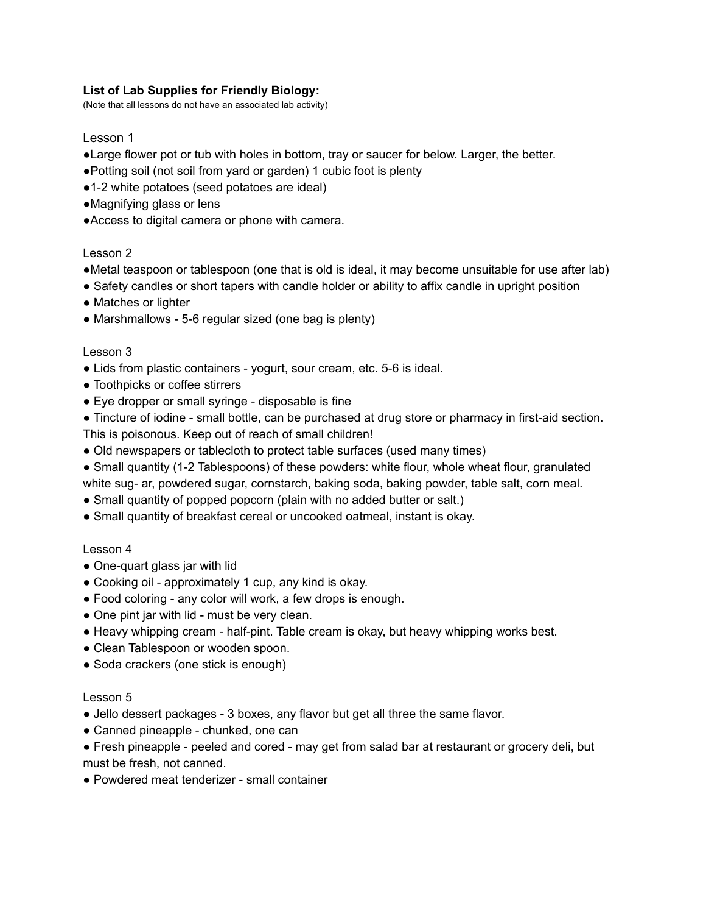### **List of Lab Supplies for Friendly Biology:**

(Note that all lessons do not have an associated lab activity)

## Lesson 1

- ●Large flower pot or tub with holes in bottom, tray or saucer for below. Larger, the better.
- ●Potting soil (not soil from yard or garden) 1 cubic foot is plenty
- ●1-2 white potatoes (seed potatoes are ideal)
- ●Magnifying glass or lens
- ●Access to digital camera or phone with camera.

#### Lesson 2

- ●Metal teaspoon or tablespoon (one that is old is ideal, it may become unsuitable for use after lab)
- Safety candles or short tapers with candle holder or ability to affix candle in upright position
- Matches or lighter
- Marshmallows 5-6 regular sized (one bag is plenty)

#### Lesson 3

- Lids from plastic containers yogurt, sour cream, etc. 5-6 is ideal.
- Toothpicks or coffee stirrers
- Eye dropper or small syringe disposable is fine
- Tincture of iodine small bottle, can be purchased at drug store or pharmacy in first-aid section. This is poisonous. Keep out of reach of small children!
- Old newspapers or tablecloth to protect table surfaces (used many times)
- Small quantity (1-2 Tablespoons) of these powders: white flour, whole wheat flour, granulated white sug- ar, powdered sugar, cornstarch, baking soda, baking powder, table salt, corn meal.
- Small quantity of popped popcorn (plain with no added butter or salt.)
- Small quantity of breakfast cereal or uncooked oatmeal, instant is okay.

#### Lesson 4

- One-quart glass jar with lid
- Cooking oil approximately 1 cup, any kind is okay.
- Food coloring any color will work, a few drops is enough.
- One pint jar with lid must be very clean.
- Heavy whipping cream half-pint. Table cream is okay, but heavy whipping works best.
- Clean Tablespoon or wooden spoon.
- Soda crackers (one stick is enough)

#### Lesson 5

- Jello dessert packages 3 boxes, any flavor but get all three the same flavor.
- Canned pineapple chunked, one can
- Fresh pineapple peeled and cored may get from salad bar at restaurant or grocery deli, but must be fresh, not canned.
- Powdered meat tenderizer small container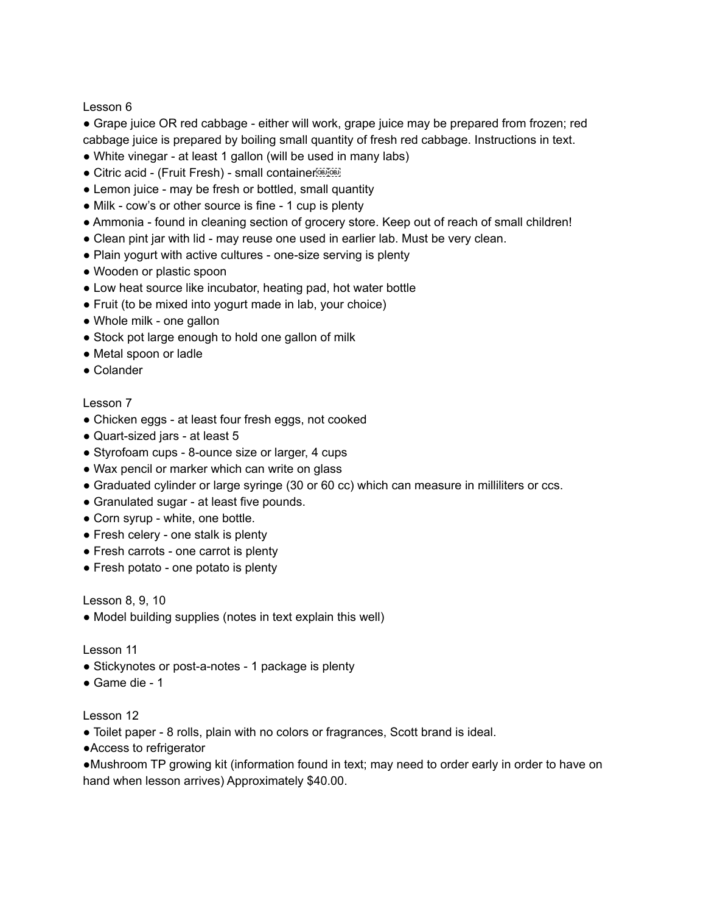Lesson 6

● Grape juice OR red cabbage - either will work, grape juice may be prepared from frozen; red cabbage juice is prepared by boiling small quantity of fresh red cabbage. Instructions in text.

- White vinegar at least 1 gallon (will be used in many labs)
- Citric acid (Fruit Fresh) small container
- Lemon juice may be fresh or bottled, small quantity
- Milk cow's or other source is fine 1 cup is plenty
- Ammonia found in cleaning section of grocery store. Keep out of reach of small children!
- Clean pint jar with lid may reuse one used in earlier lab. Must be very clean.
- Plain yogurt with active cultures one-size serving is plenty
- Wooden or plastic spoon
- Low heat source like incubator, heating pad, hot water bottle
- Fruit (to be mixed into yogurt made in lab, your choice)
- Whole milk one gallon
- Stock pot large enough to hold one gallon of milk
- Metal spoon or ladle
- Colander

# Lesson 7

- Chicken eggs at least four fresh eggs, not cooked
- Quart-sized jars at least 5
- Styrofoam cups 8-ounce size or larger, 4 cups
- Wax pencil or marker which can write on glass
- Graduated cylinder or large syringe (30 or 60 cc) which can measure in milliliters or ccs.
- Granulated sugar at least five pounds.
- Corn syrup white, one bottle.
- Fresh celery one stalk is plenty
- Fresh carrots one carrot is plenty
- Fresh potato one potato is plenty

Lesson 8, 9, 10

● Model building supplies (notes in text explain this well)

Lesson 11

- Stickynotes or post-a-notes 1 package is plenty
- Game die 1

Lesson 12

- Toilet paper 8 rolls, plain with no colors or fragrances, Scott brand is ideal.
- ●Access to refrigerator

●Mushroom TP growing kit (information found in text; may need to order early in order to have on hand when lesson arrives) Approximately \$40.00.